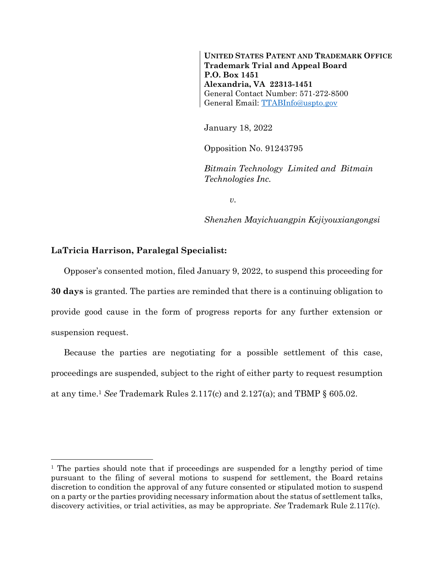**UNITED STATES PATENT AND TRADEMARK OFFICE Trademark Trial and Appeal Board P.O. Box 1451 Alexandria, VA 22313-1451** General Contact Number: 571-272-8500 General Email: [TTABInfo@uspto.gov](mailto:TTABInfo@uspto.gov)

January 18, 2022

Opposition No. 91243795

*Bitmain Technology Limited and Bitmain Technologies Inc.*

*v.*

*Shenzhen Mayichuangpin Kejiyouxiangongsi*

## **LaTricia Harrison, Paralegal Specialist:**

 $\overline{a}$ 

Opposer's consented motion, filed January 9, 2022, to suspend this proceeding for **30 days** is granted. The parties are reminded that there is a continuing obligation to provide good cause in the form of progress reports for any further extension or suspension request.

Because the parties are negotiating for a possible settlement of this case, proceedings are suspended, subject to the right of either party to request resumption at any time. <sup>1</sup> *See* Trademark Rules 2.117(c) and 2.127(a); and TBMP § 605.02.

<sup>&</sup>lt;sup>1</sup> The parties should note that if proceedings are suspended for a lengthy period of time pursuant to the filing of several motions to suspend for settlement, the Board retains discretion to condition the approval of any future consented or stipulated motion to suspend on a party or the parties providing necessary information about the status of settlement talks, discovery activities, or trial activities, as may be appropriate. *See* Trademark Rule 2.117(c).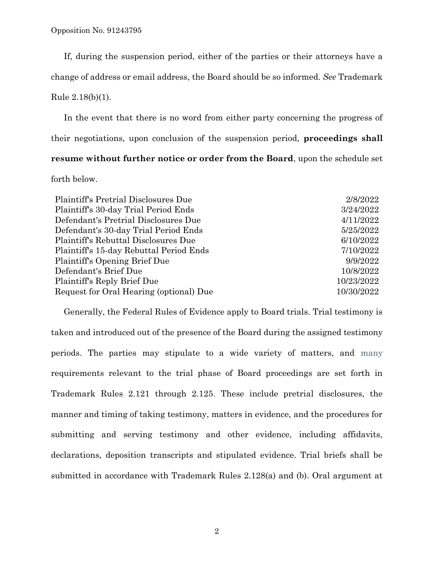If, during the suspension period, either of the parties or their attorneys have a change of address or email address, the Board should be so informed. *See* Trademark Rule 2.18(b)(1).

In the event that there is no word from either party concerning the progress of their negotiations, upon conclusion of the suspension period, **proceedings shall resume without further notice or order from the Board**, upon the schedule set forth below.

| Plaintiff's Pretrial Disclosures Due    | 2/8/2022   |
|-----------------------------------------|------------|
| Plaintiff's 30-day Trial Period Ends    | 3/24/2022  |
| Defendant's Pretrial Disclosures Due    | 4/11/2022  |
| Defendant's 30-day Trial Period Ends    | 5/25/2022  |
| Plaintiff's Rebuttal Disclosures Due    | 6/10/2022  |
| Plaintiff's 15-day Rebuttal Period Ends | 7/10/2022  |
| Plaintiff's Opening Brief Due           | 9/9/2022   |
| Defendant's Brief Due                   | 10/8/2022  |
| Plaintiff's Reply Brief Due             | 10/23/2022 |
| Request for Oral Hearing (optional) Due | 10/30/2022 |

Generally, the Federal Rules of Evidence apply to Board trials. Trial testimony is taken and introduced out of the presence of the Board during the assigned testimony periods. The parties may stipulate to a wide variety of matters, and many requirements relevant to the trial phase of Board proceedings are set forth in Trademark Rules 2.121 through 2.125. These include pretrial disclosures, the manner and timing of taking testimony, matters in evidence, and the procedures for submitting and serving testimony and other evidence, including affidavits, declarations, deposition transcripts and stipulated evidence. Trial briefs shall be submitted in accordance with Trademark Rules 2.128(a) and (b). Oral argument at